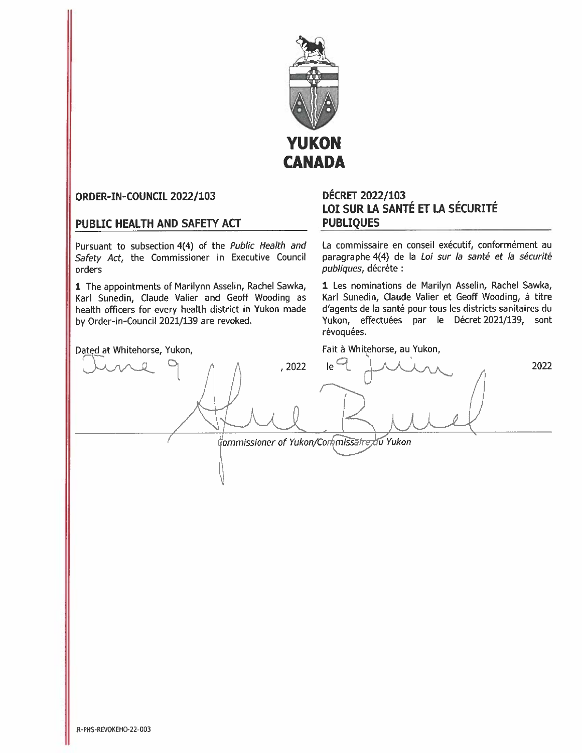

# ORDER-IN-COUNCIL 2022/103

# PUBLIC HEALTH AND SAFETY ACT

Pursuant to subsection 4(4) of the Public Health and Safety Act, the Commissioner in Executive Council orders

1 The appointments of Marilynn Asselin, Rachel Sawka, Karl Sunedin, Claude Valier and Geoff Wooding as health officers for every health district in Yukon made by Order-in-Council 2021/139 are revoked.

# **DÉCRET 2022/103** LOI SUR LA SANTÉ ET LA SÉCURITÉ **PUBLIQUES**

La commissaire en conseil exécutif, conformément au paragraphe 4(4) de la Loi sur la santé et la sécurité publiques, décrète :

1 Les nominations de Marilyn Asselin, Rachel Sawka, Karl Sunedin, Claude Valier et Geoff Wooding, à titre d'agents de la santé pour tous les districts sanitaires du Yukon, effectuées par le Décret 2021/139, sont révoquées.

Fait à Whitehorse, au Yukon,

Dated at Whitehorse, Yukon,  $Ie$ <sup> $\Box$ </sup>  $,2022$ 2022 Commissioner of Yukon/Commissatre du Yukon